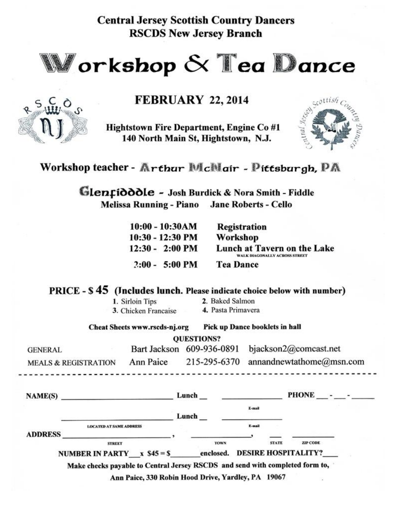**Central Jersey Scottish Country Dancers RSCDS New Jersey Branch** 



# **FEBRUARY 22, 2014**

Hightstown Fire Department, Engine Co #1 140 North Main St, Hightstown, N.J.



Workshop teacher - Arthur McMair - Pittsburgh, PA

Glenfidddle - Josh Burdick & Nora Smith - Fiddle Melissa Running - Piano Jane Roberts - Cello

| $10:00 - 10:30AM$         | <b>Registration</b>                                          |
|---------------------------|--------------------------------------------------------------|
| $10:30 - 12:30$ PM        | Workshop                                                     |
| $12:30 - 2:00 \text{ PM}$ | Lunch at Tavern on the Lake<br>WALK DIAGONALLY ACROSS STREET |
| $2:00 - 5:00 \text{ PM}$  | <b>Tea Dance</b>                                             |

PRICE - \$45 (Jncludes lunch. Please indicate choice below with number)

1. Sirloin Tips 3. Chicken Francaise 2. Baked Salmon 4. Pasta Primavera

Pick up Dance booklets in hall

**Cheat Sheets www.rscds-nj.org** 

 $\int_{u}^{C} 0$ 

**OUESTIONS?** 

| <b>GENERAL</b>                  |           | Bart Jackson 609-936-0891 bjackson2@comcast.net |
|---------------------------------|-----------|-------------------------------------------------|
| <b>MEALS &amp; REGISTRATION</b> | Ann Paice | 215-295-6370 annandnewtathome@msn.com           |

| NAME(S)        |                                                                              | Lunch |                          |        |              | PHONE                                         |  |
|----------------|------------------------------------------------------------------------------|-------|--------------------------|--------|--------------|-----------------------------------------------|--|
|                |                                                                              | Lunch |                          | E-mail |              |                                               |  |
|                | <b>LOCATED AT SAME ADDRESS</b>                                               |       |                          | K-mail |              |                                               |  |
| <b>ADDRESS</b> |                                                                              |       |                          |        |              |                                               |  |
|                | <b>STREET</b><br>NUMBER IN PARTY $x 545 = S$                                 |       | <b>TOWN</b><br>enclosed. |        | <b>STATE</b> | <b>ZIP CODE</b><br><b>DESIRE HOSPITALITY?</b> |  |
|                | Make checks payable to Central Jersey RSCDS and send with completed form to, |       |                          |        |              |                                               |  |

Ann Paice, 330 Robin Hood Drive, Yardley, PA 19067